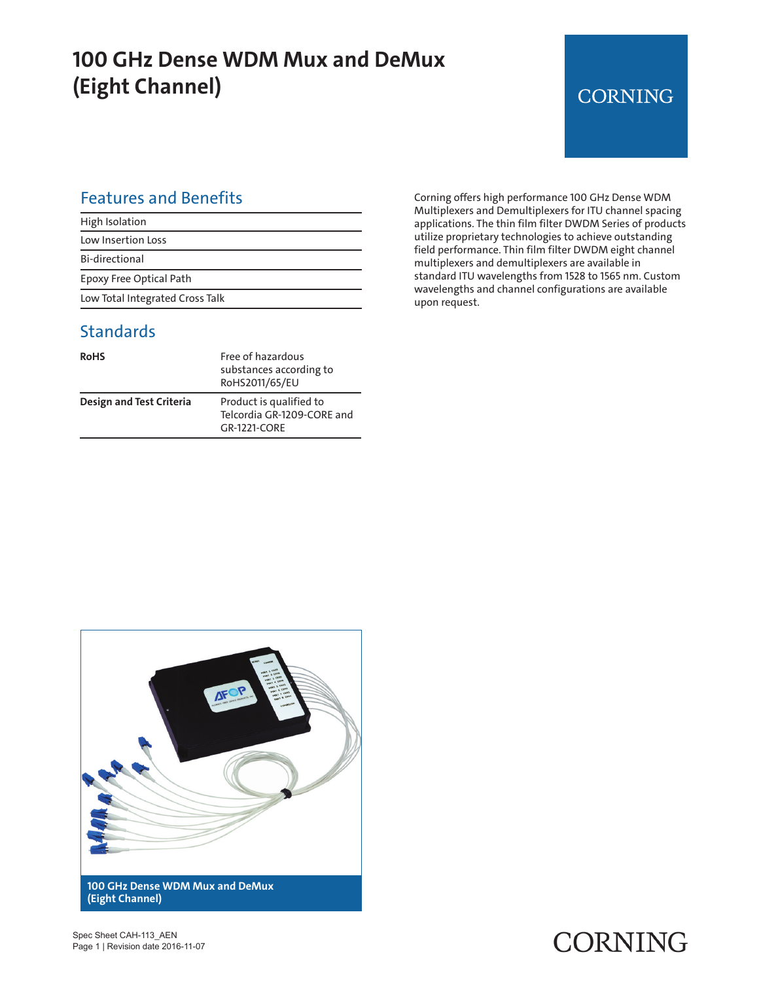## **100 GHz Dense WDM Mux and DeMux (Eight Channel)**

## **CORNING**

#### Features and Benefits

| High Isolation                  |  |
|---------------------------------|--|
| Low Insertion Loss              |  |
| Bi-directional                  |  |
| Epoxy Free Optical Path         |  |
| Low Total Integrated Cross Talk |  |

### **Standards**

| <b>RoHS</b>                     | Free of hazardous<br>substances according to<br>RoHS2011/65/EU        |
|---------------------------------|-----------------------------------------------------------------------|
| <b>Design and Test Criteria</b> | Product is qualified to<br>Telcordia GR-1209-CORE and<br>GR-1221-CORF |

Corning offers high performance 100 GHz Dense WDM Multiplexers and Demultiplexers for ITU channel spacing applications. The thin film filter DWDM Series of products utilize proprietary technologies to achieve outstanding field performance. Thin film filter DWDM eight channel multiplexers and demultiplexers are available in standard ITU wavelengths from 1528 to 1565 nm. Custom wavelengths and channel configurations are available upon request.



CORNING

Spec Sheet CAH-113\_AEN Page 1 | Revision date 2016-11-07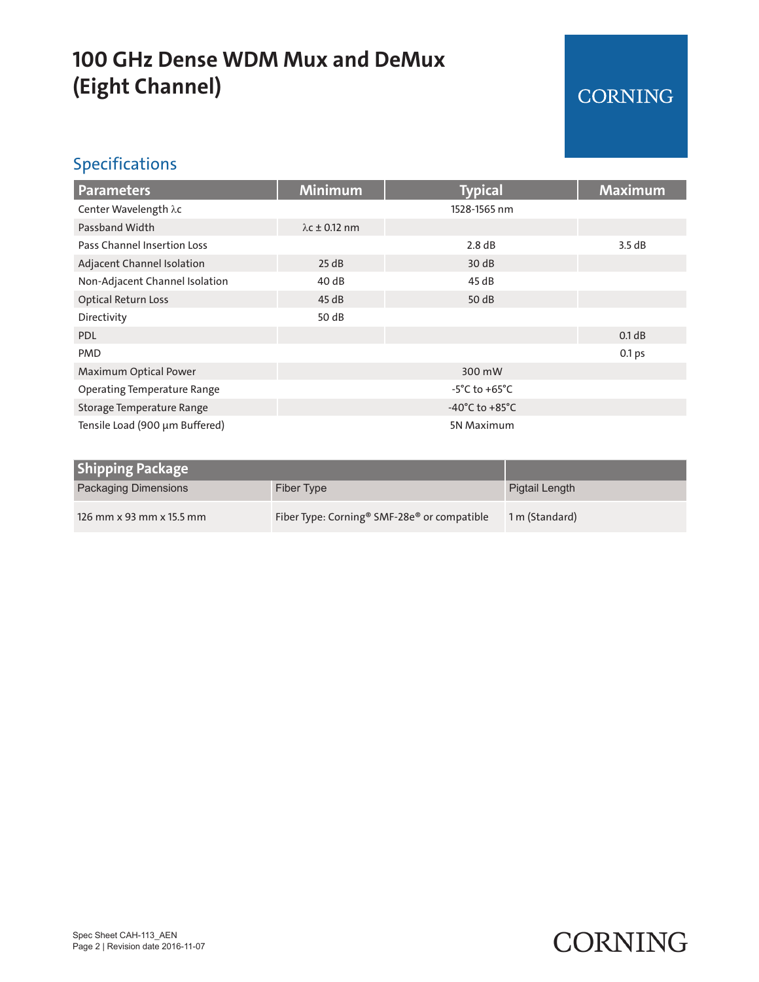# **100 GHz Dense WDM Mux and DeMux (Eight Channel)**

## CORNING

### Specifications

| <b>Parameters</b>                  | <b>Minimum</b>                     | <b>Typical</b> | <b>Maximum</b> |
|------------------------------------|------------------------------------|----------------|----------------|
| Center Wavelength λc               |                                    | 1528-1565 nm   |                |
| Passband Width                     | $\lambda$ c ± 0.12 nm              |                |                |
| Pass Channel Insertion Loss        |                                    | 2.8 dB         | 3.5dB          |
| Adjacent Channel Isolation         | 25 dB                              | 30 dB          |                |
| Non-Adjacent Channel Isolation     | 40dB                               | 45 dB          |                |
| <b>Optical Return Loss</b>         | 45dB                               | 50 dB          |                |
| Directivity                        | 50 dB                              |                |                |
| <b>PDL</b>                         |                                    |                | 0.1 dB         |
| <b>PMD</b>                         |                                    |                | 0.1 ps         |
| Maximum Optical Power              | 300 mW                             |                |                |
| <b>Operating Temperature Range</b> | $-5^{\circ}$ C to $+65^{\circ}$ C  |                |                |
| Storage Temperature Range          | $-40^{\circ}$ C to $+85^{\circ}$ C |                |                |
| Tensile Load (900 µm Buffered)     | 5N Maximum                         |                |                |

| <b>Shipping Package</b>     |                                                                     |                |
|-----------------------------|---------------------------------------------------------------------|----------------|
| <b>Packaging Dimensions</b> | Fiber Type                                                          | Pigtail Length |
| 126 mm x 93 mm x 15.5 mm    | Fiber Type: Corning <sup>®</sup> SMF-28e <sup>®</sup> or compatible | 1 m (Standard) |